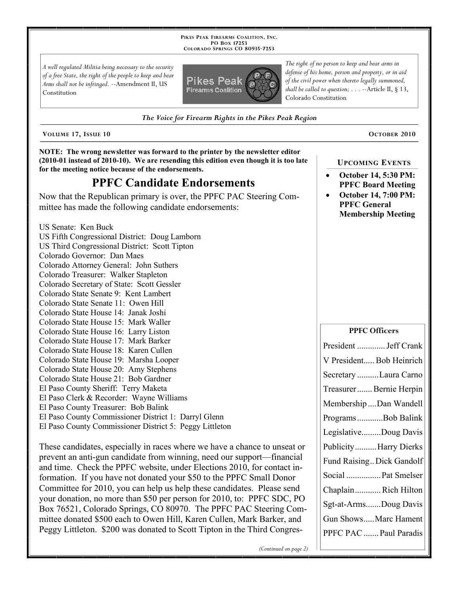**PIKES PEAK FIREARMS COALITION, INC. PO BOX 17253 COLORADO SPRINGS CO 80935 -7253**

*A well regulated Militia being necessary to the security of a free State, the right of the people to keep and bear Arms shall not be infringed.* --Amendment II, US Constitution



*The right of no person to keep and bear arms in defense of his home, person and property, or in aid of the civil power when thereto legally summoned, shall be called to question; . . .* --Article II, § 13, Colorado Constitution

*The Voice for Firearm Rights in the Pikes Peak Region*

**VOLUME 17, ISSUE 10 OCTOBER 2010**

**NOTE: The wrong newsletter was forward to the printer by the newsletter editor (2010-01 instead of 2010-10). We are resending this edition even though it is too late for the meeting notice because of the endorsements.**

## **PPFC Candidate Endorsements**

Now that the Republican primary is over, the PPFC PAC Steering Committee has made the following candidate endorsements:

US Senate: Ken Buck

US Fifth Congressional District: Doug Lamborn US Third Congressional District: Scott Tipton Colorado Governor: Dan Maes Colorado Attorney General: John Suthers Colorado Treasurer: Walker Stapleton Colorado Secretary of State: Scott Gessler Colorado State Senate 9: Kent Lambert Colorado State Senate 11: Owen Hill Colorado State House 14: Janak Joshi Colorado State House 15: Mark Waller Colorado State House 16: Larry Liston Colorado State House 17: Mark Barker Colorado State House 18: Karen Cullen Colorado State House 19: Marsha Looper Colorado State House 20: Amy Stephens Colorado State House 21: Bob Gardner El Paso County Sheriff: Terry Maketa El Paso Clerk & Recorder: Wayne Williams El Paso County Treasurer: Bob Balink El Paso County Commissioner District 1: Darryl Glenn El Paso County Commissioner District 5: Peggy Littleton

These candidates, especially in races where we have a chance to unseat or prevent an anti-gun candidate from winning, need our support—financial and time. Check the PPFC website, under Elections 2010, for contact information. If you have not donated your \$50 to the PPFC Small Donor Committee for 2010, you can help us help these candidates. Please send your donation, no more than \$50 per person for 2010, to: PPFC SDC, PO Box 76521, Colorado Springs, CO 80970. The PPFC PAC Steering Committee donated \$500 each to Owen Hill, Karen Cullen, Mark Barker, and Peggy Littleton. \$200 was donated to Scott Tipton in the Third Congres-

## **UPCOMING EVENTS**

- **October 14, 5:30 PM: PPFC Board Meeting**
- **October 14, 7:00 PM: PPFC General Membership Meeting**

| <b>PPFC Officers</b>      |
|---------------------------|
| President  Jeff Crank     |
| V President Bob Heinrich  |
| Secretary Laura Carno     |
| Treasurer Bernie Herpin   |
| Membership Dan Wandell    |
| ProgramsBob Balink        |
| LegislativeDoug Davis     |
| PublicityHarry Dierks     |
| Fund Raising Dick Gandolf |
| Social  Pat Smelser       |
| Chaplain Rich Hilton      |
| Sgt-at-ArmsDoug Davis     |
| Gun ShowsMarc Hament      |
| PPFC PAC  Paul Paradis    |
|                           |